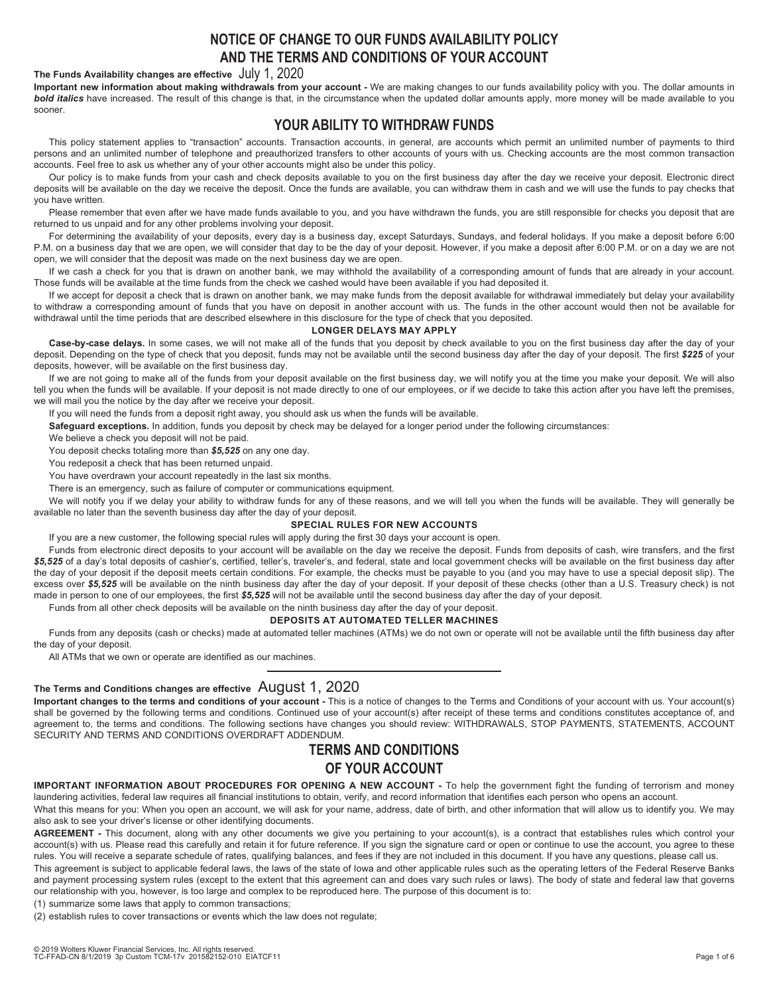# **NOTICE OF CHANGE TO OUR FUNDS AVAILABILITY POLICY AND THE TERMS AND CONDITIONS OF YOUR ACCOUNT**

### **The Funds Availability changes are effective** July 1, 2020

**Important new information about making withdrawals from your account -** We are making changes to our funds availability policy with you. The dollar amounts in *bold italics* have increased. The result of this change is that, in the circumstance when the updated dollar amounts apply, more money will be made available to you sooner.

# **YOUR ABILITY TO WITHDRAW FUNDS**

This policy statement applies to "transaction" accounts. Transaction accounts, in general, are accounts which permit an unlimited number of payments to third persons and an unlimited number of telephone and preauthorized transfers to other accounts of yours with us. Checking accounts are the most common transaction accounts. Feel free to ask us whether any of your other accounts might also be under this policy.

Our policy is to make funds from your cash and check deposits available to you on the first business day after the day we receive your deposit. Electronic direct deposits will be available on the day we receive the deposit. Once the funds are available, you can withdraw them in cash and we will use the funds to pay checks that you have written.

Please remember that even after we have made funds available to you, and you have withdrawn the funds, you are still responsible for checks you deposit that are returned to us unpaid and for any other problems involving your deposit.

For determining the availability of your deposits, every day is a business day, except Saturdays, Sundays, and federal holidays. If you make a deposit before 6:00 P.M. on a business day that we are open, we will consider that day to be the day of your deposit. However, if you make a deposit after 6:00 P.M. or on a day we are not open, we will consider that the deposit was made on the next business day we are open.

If we cash a check for you that is drawn on another bank, we may withhold the availability of a corresponding amount of funds that are already in your account. Those funds will be available at the time funds from the check we cashed would have been available if you had deposited it.

If we accept for deposit a check that is drawn on another bank, we may make funds from the deposit available for withdrawal immediately but delay your availability to withdraw a corresponding amount of funds that you have on deposit in another account with us. The funds in the other account would then not be available for withdrawal until the time periods that are described elsewhere in this disclosure for the type of check that you deposited.

## **LONGER DELAYS MAY APPLY**

**Case-by-case delays.** In some cases, we will not make all of the funds that you deposit by check available to you on the first business day after the day of your deposit. Depending on the type of check that you deposit, funds may not be available until the second business day after the day of your deposit. The first *\$225* of your deposits, however, will be available on the first business day.

If we are not going to make all of the funds from your deposit available on the first business day, we will notify you at the time you make your deposit. We will also tell you when the funds will be available. If your deposit is not made directly to one of our employees, or if we decide to take this action after you have left the premises, we will mail you the notice by the day after we receive your deposit.

If you will need the funds from a deposit right away, you should ask us when the funds will be available.

**Safeguard exceptions.** In addition, funds you deposit by check may be delayed for a longer period under the following circumstances:

We believe a check you deposit will not be paid.

You deposit checks totaling more than *\$5,525* on any one day.

You redeposit a check that has been returned unpaid.

You have overdrawn your account repeatedly in the last six months.

There is an emergency, such as failure of computer or communications equipment.

We will notify you if we delay your ability to withdraw funds for any of these reasons, and we will tell you when the funds will be available. They will generally be available no later than the seventh business day after the day of your deposit.

## **SPECIAL RULES FOR NEW ACCOUNTS**

If you are a new customer, the following special rules will apply during the first 30 days your account is open.

Funds from electronic direct deposits to your account will be available on the day we receive the deposit. Funds from deposits of cash, wire transfers, and the first \$5,525 of a day's total deposits of cashier's, certified, teller's, traveler's, and federal, state and local government checks will be available on the first business day after the day of your deposit if the deposit meets certain conditions. For example, the checks must be payable to you (and you may have to use a special deposit slip). The excess over \$5,525 will be available on the ninth business day after the day of your deposit. If your deposit of these checks (other than a U.S. Treasury check) is not made in person to one of our employees, the first *\$5,525* will not be available until the second business day after the day of your deposit.

Funds from all other check deposits will be available on the ninth business day after the day of your deposit.

## **DEPOSITS AT AUTOMATED TELLER MACHINES**

Funds from any deposits (cash or checks) made at automated teller machines (ATMs) we do not own or operate will not be available until the fifth business day after the day of your deposit.

All ATMs that we own or operate are identified as our machines.

## **The Terms and Conditions changes are effective** August 1, 2020

**Important changes to the terms and conditions of your account -** This is a notice of changes to the Terms and Conditions of your account with us. Your account(s) shall be governed by the following terms and conditions. Continued use of your account(s) after receipt of these terms and conditions constitutes acceptance of, and agreement to, the terms and conditions. The following sections have changes you should review: WITHDRAWALS, STOP PAYMENTS, STATEMENTS, ACCOUNT SECURITY AND TERMS AND CONDITIONS OVERDRAFT ADDENDUM.

# **TERMS AND CONDITIONS OF YOUR ACCOUNT**

**IMPORTANT INFORMATION ABOUT PROCEDURES FOR OPENING A NEW ACCOUNT -** To help the government fight the funding of terrorism and money laundering activities, federal law requires all financial institutions to obtain, verify, and record information that identifies each person who opens an account.

What this means for you: When you open an account, we will ask for your name, address, date of birth, and other information that will allow us to identify you. We may also ask to see your driver's license or other identifying documents.

**AGREEMENT -** This document, along with any other documents we give you pertaining to your account(s), is a contract that establishes rules which control your account(s) with us. Please read this carefully and retain it for future reference. If you sign the signature card or open or continue to use the account, you agree to these rules. You will receive a separate schedule of rates, qualifying balances, and fees if they are not included in this document. If you have any questions, please call us.

This agreement is subject to applicable federal laws, the laws of the state of Iowa and other applicable rules such as the operating letters of the Federal Reserve Banks and payment processing system rules (except to the extent that this agreement can and does vary such rules or laws). The body of state and federal law that governs our relationship with you, however, is too large and complex to be reproduced here. The purpose of this document is to:

(1) summarize some laws that apply to common transactions;

(2) establish rules to cover transactions or events which the law does not regulate;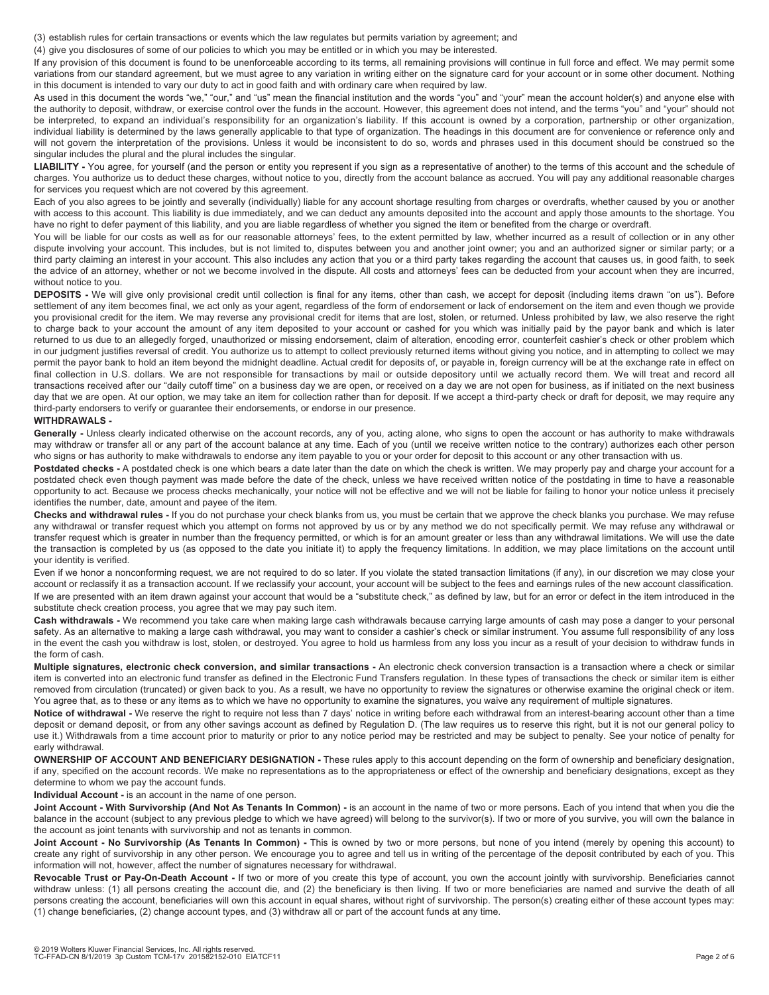(3) establish rules for certain transactions or events which the law regulates but permits variation by agreement; and

(4) give you disclosures of some of our policies to which you may be entitled or in which you may be interested.

If any provision of this document is found to be unenforceable according to its terms, all remaining provisions will continue in full force and effect. We may permit some variations from our standard agreement, but we must agree to any variation in writing either on the signature card for your account or in some other document. Nothing in this document is intended to vary our duty to act in good faith and with ordinary care when required by law.

As used in this document the words "we," "our," and "us" mean the financial institution and the words "you" and "your" mean the account holder(s) and anyone else with the authority to deposit, withdraw, or exercise control over the funds in the account. However, this agreement does not intend, and the terms "you" and "your" should not be interpreted, to expand an individual's responsibility for an organization's liability. If this account is owned by a corporation, partnership or other organization, individual liability is determined by the laws generally applicable to that type of organization. The headings in this document are for convenience or reference only and will not govern the interpretation of the provisions. Unless it would be inconsistent to do so, words and phrases used in this document should be construed so the singular includes the plural and the plural includes the singular.

LIABILITY - You agree, for yourself (and the person or entity you represent if you sign as a representative of another) to the terms of this account and the schedule of charges. You authorize us to deduct these charges, without notice to you, directly from the account balance as accrued. You will pay any additional reasonable charges for services you request which are not covered by this agreement.

Each of you also agrees to be jointly and severally (individually) liable for any account shortage resulting from charges or overdrafts, whether caused by you or another with access to this account. This liability is due immediately, and we can deduct any amounts deposited into the account and apply those amounts to the shortage. You have no right to defer payment of this liability, and you are liable regardless of whether you signed the item or benefited from the charge or overdraft.

You will be liable for our costs as well as for our reasonable attorneys' fees, to the extent permitted by law, whether incurred as a result of collection or in any other dispute involving your account. This includes, but is not limited to, disputes between you and another joint owner; you and an authorized signer or similar party; or a third party claiming an interest in your account. This also includes any action that you or a third party takes regarding the account that causes us, in good faith, to seek the advice of an attorney, whether or not we become involved in the dispute. All costs and attorneys' fees can be deducted from your account when they are incurred, without notice to you.

**DEPOSITS -** We will give only provisional credit until collection is final for any items, other than cash, we accept for deposit (including items drawn "on us"). Before settlement of any item becomes final, we act only as your agent, regardless of the form of endorsement or lack of endorsement on the item and even though we provide you provisional credit for the item. We may reverse any provisional credit for items that are lost, stolen, or returned. Unless prohibited by law, we also reserve the right to charge back to your account the amount of any item deposited to your account or cashed for you which was initially paid by the payor bank and which is later returned to us due to an allegedly forged, unauthorized or missing endorsement, claim of alteration, encoding error, counterfeit cashier's check or other problem which in our judgment justifies reversal of credit. You authorize us to attempt to collect previously returned items without giving you notice, and in attempting to collect we may permit the payor bank to hold an item beyond the midnight deadline. Actual credit for deposits of, or payable in, foreign currency will be at the exchange rate in effect on final collection in U.S. dollars. We are not responsible for transactions by mail or outside depository until we actually record them. We will treat and record all transactions received after our "daily cutoff time" on a business day we are open, or received on a day we are not open for business, as if initiated on the next business day that we are open. At our option, we may take an item for collection rather than for deposit. If we accept a third-party check or draft for deposit, we may require any third-party endorsers to verify or guarantee their endorsements, or endorse in our presence.

#### **WITHDRAWALS -**

Generally - Unless clearly indicated otherwise on the account records, any of you, acting alone, who signs to open the account or has authority to make withdrawals may withdraw or transfer all or any part of the account balance at any time. Each of you (until we receive written notice to the contrary) authorizes each other person who signs or has authority to make withdrawals to endorse any item payable to you or your order for deposit to this account or any other transaction with us.

Postdated checks - A postdated check is one which bears a date later than the date on which the check is written. We may properly pay and charge your account for a postdated check even though payment was made before the date of the check, unless we have received written notice of the postdating in time to have a reasonable opportunity to act. Because we process checks mechanically, your notice will not be effective and we will not be liable for failing to honor your notice unless it precisely identifies the number, date, amount and payee of the item.

**Checks and withdrawal rules -** If you do not purchase your check blanks from us, you must be certain that we approve the check blanks you purchase. We may refuse any withdrawal or transfer request which you attempt on forms not approved by us or by any method we do not specifically permit. We may refuse any withdrawal or transfer request which is greater in number than the frequency permitted, or which is for an amount greater or less than any withdrawal limitations. We will use the date the transaction is completed by us (as opposed to the date you initiate it) to apply the frequency limitations. In addition, we may place limitations on the account until your identity is verified.

Even if we honor a nonconforming request, we are not required to do so later. If you violate the stated transaction limitations (if any), in our discretion we may close your account or reclassify it as a transaction account. If we reclassify your account, your account will be subject to the fees and earnings rules of the new account classification. If we are presented with an item drawn against your account that would be a "substitute check," as defined by law, but for an error or defect in the item introduced in the substitute check creation process, you agree that we may pay such item.

**Cash withdrawals -** We recommend you take care when making large cash withdrawals because carrying large amounts of cash may pose a danger to your personal safety. As an alternative to making a large cash withdrawal, you may want to consider a cashier's check or similar instrument. You assume full responsibility of any loss in the event the cash you withdraw is lost, stolen, or destroyed. You agree to hold us harmless from any loss you incur as a result of your decision to withdraw funds in the form of cash.

**Multiple signatures, electronic check conversion, and similar transactions -** An electronic check conversion transaction is a transaction where a check or similar item is converted into an electronic fund transfer as defined in the Electronic Fund Transfers regulation. In these types of transactions the check or similar item is either removed from circulation (truncated) or given back to you. As a result, we have no opportunity to review the signatures or otherwise examine the original check or item. You agree that, as to these or any items as to which we have no opportunity to examine the signatures, you waive any requirement of multiple signatures.

**Notice of withdrawal -** We reserve the right to require not less than 7 days' notice in writing before each withdrawal from an interest-bearing account other than a time deposit or demand deposit, or from any other savings account as defined by Regulation D. (The law requires us to reserve this right, but it is not our general policy to use it.) Withdrawals from a time account prior to maturity or prior to any notice period may be restricted and may be subject to penalty. See your notice of penalty for early withdrawal.

**OWNERSHIP OF ACCOUNT AND BENEFICIARY DESIGNATION -** These rules apply to this account depending on the form of ownership and beneficiary designation, if any, specified on the account records. We make no representations as to the appropriateness or effect of the ownership and beneficiary designations, except as they determine to whom we pay the account funds.

**Individual Account -** is an account in the name of one person.

Joint Account - With Survivorship (And Not As Tenants In Common) - is an account in the name of two or more persons. Each of you intend that when you die the balance in the account (subject to any previous pledge to which we have agreed) will belong to the survivor(s). If two or more of you survive, you will own the balance in the account as joint tenants with survivorship and not as tenants in common.

Joint Account - No Survivorship (As Tenants In Common) - This is owned by two or more persons, but none of you intend (merely by opening this account) to create any right of survivorship in any other person. We encourage you to agree and tell us in writing of the percentage of the deposit contributed by each of you. This information will not, however, affect the number of signatures necessary for withdrawal.

Revocable Trust or Pay-On-Death Account - If two or more of you create this type of account, you own the account jointly with survivorship. Beneficiaries cannot withdraw unless: (1) all persons creating the account die, and (2) the beneficiary is then living. If two or more beneficiaries are named and survive the death of all persons creating the account, beneficiaries will own this account in equal shares, without right of survivorship. The person(s) creating either of these account types may: (1) change beneficiaries, (2) change account types, and (3) withdraw all or part of the account funds at any time.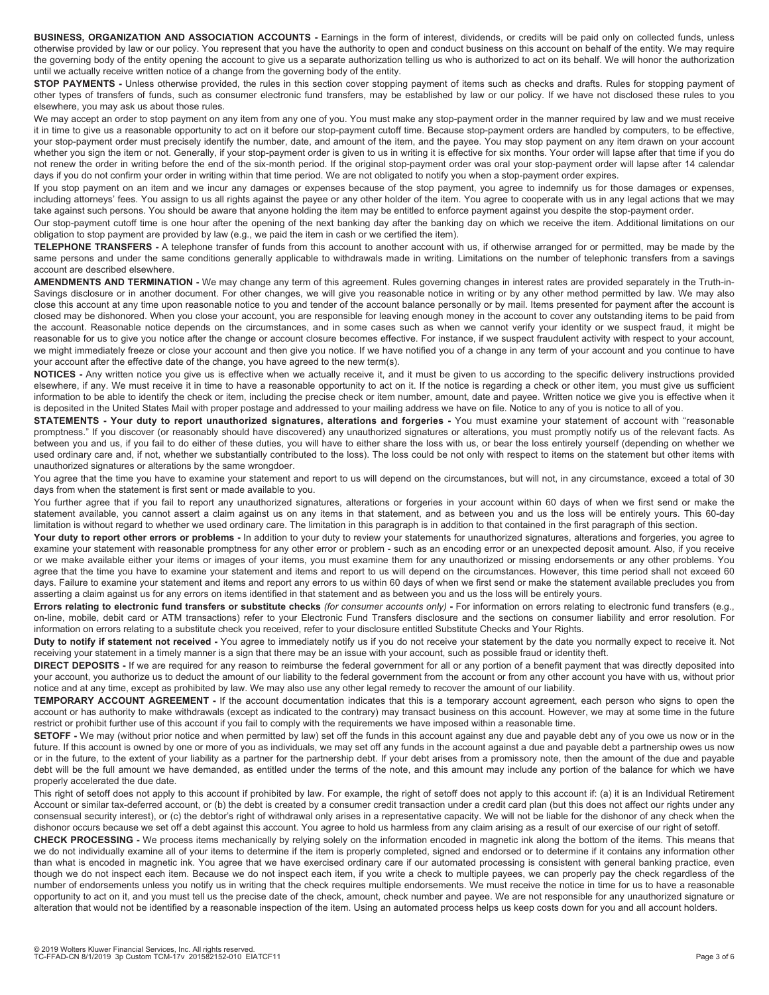**BUSINESS, ORGANIZATION AND ASSOCIATION ACCOUNTS -** Earnings in the form of interest, dividends, or credits will be paid only on collected funds, unless otherwise provided by law or our policy. You represent that you have the authority to open and conduct business on this account on behalf of the entity. We may require the governing body of the entity opening the account to give us a separate authorization telling us who is authorized to act on its behalf. We will honor the authorization until we actually receive written notice of a change from the governing body of the entity.

**STOP PAYMENTS -** Unless otherwise provided, the rules in this section cover stopping payment of items such as checks and drafts. Rules for stopping payment of other types of transfers of funds, such as consumer electronic fund transfers, may be established by law or our policy. If we have not disclosed these rules to you elsewhere, you may ask us about those rules.

We may accept an order to stop payment on any item from any one of you. You must make any stop-payment order in the manner required by law and we must receive it in time to give us a reasonable opportunity to act on it before our stop-payment cutoff time. Because stop-payment orders are handled by computers, to be effective, your stop-payment order must precisely identify the number, date, and amount of the item, and the payee. You may stop payment on any item drawn on your account whether you sign the item or not. Generally, if your stop-payment order is given to us in writing it is effective for six months. Your order will lapse after that time if you do not renew the order in writing before the end of the six-month period. If the original stop-payment order was oral your stop-payment order will lapse after 14 calendar days if you do not confirm your order in writing within that time period. We are not obligated to notify you when a stop-payment order expires.

If you stop payment on an item and we incur any damages or expenses because of the stop payment, you agree to indemnify us for those damages or expenses, including attorneys' fees. You assign to us all rights against the payee or any other holder of the item. You agree to cooperate with us in any legal actions that we may take against such persons. You should be aware that anyone holding the item may be entitled to enforce payment against you despite the stop-payment order.

Our stop-payment cutoff time is one hour after the opening of the next banking day after the banking day on which we receive the item. Additional limitations on our obligation to stop payment are provided by law (e.g., we paid the item in cash or we certified the item).

**TELEPHONE TRANSFERS -** A telephone transfer of funds from this account to another account with us, if otherwise arranged for or permitted, may be made by the same persons and under the same conditions generally applicable to withdrawals made in writing. Limitations on the number of telephonic transfers from a savings account are described elsewhere.

**AMENDMENTS AND TERMINATION -** We may change any term of this agreement. Rules governing changes in interest rates are provided separately in the Truth-in-Savings disclosure or in another document. For other changes, we will give you reasonable notice in writing or by any other method permitted by law. We may also close this account at any time upon reasonable notice to you and tender of the account balance personally or by mail. Items presented for payment after the account is closed may be dishonored. When you close your account, you are responsible for leaving enough money in the account to cover any outstanding items to be paid from the account. Reasonable notice depends on the circumstances, and in some cases such as when we cannot verify your identity or we suspect fraud, it might be reasonable for us to give you notice after the change or account closure becomes effective. For instance, if we suspect fraudulent activity with respect to your account, we might immediately freeze or close your account and then give you notice. If we have notified you of a change in any term of your account and you continue to have your account after the effective date of the change, you have agreed to the new term(s).

**NOTICES -** Any written notice you give us is effective when we actually receive it, and it must be given to us according to the specific delivery instructions provided elsewhere, if any. We must receive it in time to have a reasonable opportunity to act on it. If the notice is regarding a check or other item, you must give us sufficient information to be able to identify the check or item, including the precise check or item number, amount, date and payee. Written notice we give you is effective when it is deposited in the United States Mail with proper postage and addressed to your mailing address we have on file. Notice to any of you is notice to all of you.

**STATEMENTS - Your duty to report unauthorized signatures, alterations and forgeries -** You must examine your statement of account with "reasonable promptness." If you discover (or reasonably should have discovered) any unauthorized signatures or alterations, you must promptly notify us of the relevant facts. As between you and us, if you fail to do either of these duties, you will have to either share the loss with us, or bear the loss entirely yourself (depending on whether we used ordinary care and, if not, whether we substantially contributed to the loss). The loss could be not only with respect to items on the statement but other items with unauthorized signatures or alterations by the same wrongdoer.

You agree that the time you have to examine your statement and report to us will depend on the circumstances, but will not, in any circumstance, exceed a total of 30 days from when the statement is first sent or made available to you.

You further agree that if you fail to report any unauthorized signatures, alterations or forgeries in your account within 60 days of when we first send or make the statement available, you cannot assert a claim against us on any items in that statement, and as between you and us the loss will be entirely yours. This 60-day limitation is without regard to whether we used ordinary care. The limitation in this paragraph is in addition to that contained in the first paragraph of this section.

Your duty to report other errors or problems - In addition to your duty to review your statements for unauthorized signatures, alterations and forgeries, you agree to examine your statement with reasonable promptness for any other error or problem - such as an encoding error or an unexpected deposit amount. Also, if you receive or we make available either your items or images of your items, you must examine them for any unauthorized or missing endorsements or any other problems. You agree that the time you have to examine your statement and items and report to us will depend on the circumstances. However, this time period shall not exceed 60 days. Failure to examine your statement and items and report any errors to us within 60 days of when we first send or make the statement available precludes you from asserting a claim against us for any errors on items identified in that statement and as between you and us the loss will be entirely yours.

**Errors relating to electronic fund transfers or substitute checks** *(for consumer accounts only)* **-** For information on errors relating to electronic fund transfers (e.g., on-line, mobile, debit card or ATM transactions) refer to your Electronic Fund Transfers disclosure and the sections on consumer liability and error resolution. For information on errors relating to a substitute check you received, refer to your disclosure entitled Substitute Checks and Your Rights.

**Duty to notify if statement not received -** You agree to immediately notify us if you do not receive your statement by the date you normally expect to receive it. Not receiving your statement in a timely manner is a sign that there may be an issue with your account, such as possible fraud or identity theft.

**DIRECT DEPOSITS -** If we are required for any reason to reimburse the federal government for all or any portion of a benefit payment that was directly deposited into your account, you authorize us to deduct the amount of our liability to the federal government from the account or from any other account you have with us, without prior notice and at any time, except as prohibited by law. We may also use any other legal remedy to recover the amount of our liability.

**TEMPORARY ACCOUNT AGREEMENT -** If the account documentation indicates that this is a temporary account agreement, each person who signs to open the account or has authority to make withdrawals (except as indicated to the contrary) may transact business on this account. However, we may at some time in the future restrict or prohibit further use of this account if you fail to comply with the requirements we have imposed within a reasonable time.

**SETOFF -** We may (without prior notice and when permitted by law) set off the funds in this account against any due and payable debt any of you owe us now or in the future. If this account is owned by one or more of you as individuals, we may set off any funds in the account against a due and payable debt a partnership owes us now or in the future, to the extent of your liability as a partner for the partnership debt. If your debt arises from a promissory note, then the amount of the due and payable debt will be the full amount we have demanded, as entitled under the terms of the note, and this amount may include any portion of the balance for which we have properly accelerated the due date.

This right of setoff does not apply to this account if prohibited by law. For example, the right of setoff does not apply to this account if: (a) it is an Individual Retirement Account or similar tax-deferred account, or (b) the debt is created by a consumer credit transaction under a credit card plan (but this does not affect our rights under any consensual security interest), or (c) the debtor's right of withdrawal only arises in a representative capacity. We will not be liable for the dishonor of any check when the dishonor occurs because we set off a debt against this account. You agree to hold us harmless from any claim arising as a result of our exercise of our right of setoff.

**CHECK PROCESSING -** We process items mechanically by relying solely on the information encoded in magnetic ink along the bottom of the items. This means that we do not individually examine all of your items to determine if the item is properly completed, signed and endorsed or to determine if it contains any information other than what is encoded in magnetic ink. You agree that we have exercised ordinary care if our automated processing is consistent with general banking practice, even though we do not inspect each item. Because we do not inspect each item, if you write a check to multiple payees, we can properly pay the check regardless of the number of endorsements unless you notify us in writing that the check requires multiple endorsements. We must receive the notice in time for us to have a reasonable opportunity to act on it, and you must tell us the precise date of the check, amount, check number and payee. We are not responsible for any unauthorized signature or alteration that would not be identified by a reasonable inspection of the item. Using an automated process helps us keep costs down for you and all account holders.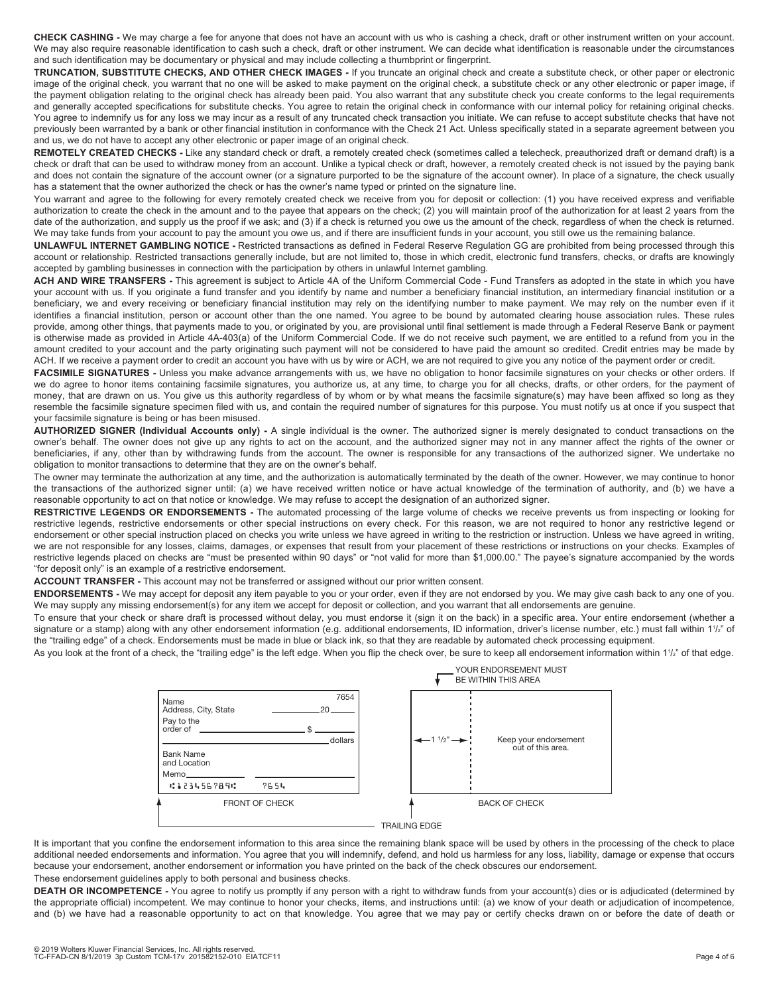**CHECK CASHING -** We may charge a fee for anyone that does not have an account with us who is cashing a check, draft or other instrument written on your account. We may also require reasonable identification to cash such a check, draft or other instrument. We can decide what identification is reasonable under the circumstances and such identification may be documentary or physical and may include collecting a thumbprint or fingerprint.

**TRUNCATION, SUBSTITUTE CHECKS, AND OTHER CHECK IMAGES -** If you truncate an original check and create a substitute check, or other paper or electronic image of the original check, you warrant that no one will be asked to make payment on the original check, a substitute check or any other electronic or paper image, if the payment obligation relating to the original check has already been paid. You also warrant that any substitute check you create conforms to the legal requirements and generally accepted specifications for substitute checks. You agree to retain the original check in conformance with our internal policy for retaining original checks. You agree to indemnify us for any loss we may incur as a result of any truncated check transaction you initiate. We can refuse to accept substitute checks that have not previously been warranted by a bank or other financial institution in conformance with the Check 21 Act. Unless specifically stated in a separate agreement between you and us, we do not have to accept any other electronic or paper image of an original check.

**REMOTELY CREATED CHECKS -** Like any standard check or draft, a remotely created check (sometimes called a telecheck, preauthorized draft or demand draft) is a check or draft that can be used to withdraw money from an account. Unlike a typical check or draft, however, a remotely created check is not issued by the paying bank and does not contain the signature of the account owner (or a signature purported to be the signature of the account owner). In place of a signature, the check usually has a statement that the owner authorized the check or has the owner's name typed or printed on the signature line.

You warrant and agree to the following for every remotely created check we receive from you for deposit or collection: (1) you have received express and verifiable authorization to create the check in the amount and to the payee that appears on the check; (2) you will maintain proof of the authorization for at least 2 years from the date of the authorization, and supply us the proof if we ask; and (3) if a check is returned you owe us the amount of the check, regardless of when the check is returned. We may take funds from your account to pay the amount you owe us, and if there are insufficient funds in your account, you still owe us the remaining balance.

**UNLAWFUL INTERNET GAMBLING NOTICE -** Restricted transactions as defined in Federal Reserve Regulation GG are prohibited from being processed through this account or relationship. Restricted transactions generally include, but are not limited to, those in which credit, electronic fund transfers, checks, or drafts are knowingly accepted by gambling businesses in connection with the participation by others in unlawful Internet gambling.

**ACH AND WIRE TRANSFERS -** This agreement is subject to Article 4A of the Uniform Commercial Code - Fund Transfers as adopted in the state in which you have your account with us. If you originate a fund transfer and you identify by name and number a beneficiary financial institution, an intermediary financial institution or a beneficiary, we and every receiving or beneficiary financial institution may rely on the identifying number to make payment. We may rely on the number even if it identifies a financial institution, person or account other than the one named. You agree to be bound by automated clearing house association rules. These rules provide, among other things, that payments made to you, or originated by you, are provisional until final settlement is made through a Federal Reserve Bank or payment is otherwise made as provided in Article 4A-403(a) of the Uniform Commercial Code. If we do not receive such payment, we are entitled to a refund from you in the amount credited to your account and the party originating such payment will not be considered to have paid the amount so credited. Credit entries may be made by ACH. If we receive a payment order to credit an account you have with us by wire or ACH, we are not required to give you any notice of the payment order or credit.

FACSIMILE SIGNATURES - Unless you make advance arrangements with us, we have no obligation to honor facsimile signatures on your checks or other orders. If we do agree to honor items containing facsimile signatures, you authorize us, at any time, to charge you for all checks, drafts, or other orders, for the payment of money, that are drawn on us. You give us this authority regardless of by whom or by what means the facsimile signature(s) may have been affixed so long as they resemble the facsimile signature specimen filed with us, and contain the required number of signatures for this purpose. You must notify us at once if you suspect that your facsimile signature is being or has been misused.

**AUTHORIZED SIGNER (Individual Accounts only) -** A single individual is the owner. The authorized signer is merely designated to conduct transactions on the owner's behalf. The owner does not give up any rights to act on the account, and the authorized signer may not in any manner affect the rights of the owner or beneficiaries, if any, other than by withdrawing funds from the account. The owner is responsible for any transactions of the authorized signer. We undertake no obligation to monitor transactions to determine that they are on the owner's behalf.

The owner may terminate the authorization at any time, and the authorization is automatically terminated by the death of the owner. However, we may continue to honor the transactions of the authorized signer until: (a) we have received written notice or have actual knowledge of the termination of authority, and (b) we have a reasonable opportunity to act on that notice or knowledge. We may refuse to accept the designation of an authorized signer.

**RESTRICTIVE LEGENDS OR ENDORSEMENTS -** The automated processing of the large volume of checks we receive prevents us from inspecting or looking for restrictive legends, restrictive endorsements or other special instructions on every check. For this reason, we are not required to honor any restrictive legend or endorsement or other special instruction placed on checks you write unless we have agreed in writing to the restriction or instruction. Unless we have agreed in writing, we are not responsible for any losses, claims, damages, or expenses that result from your placement of these restrictions or instructions on your checks. Examples of restrictive legends placed on checks are "must be presented within 90 days" or "not valid for more than \$1,000.00." The payee's signature accompanied by the words "for deposit only" is an example of a restrictive endorsement.

**ACCOUNT TRANSFER -** This account may not be transferred or assigned without our prior written consent.

**ENDORSEMENTS -** We may accept for deposit any item payable to you or your order, even if they are not endorsed by you. We may give cash back to any one of you. We may supply any missing endorsement(s) for any item we accept for deposit or collection, and you warrant that all endorsements are genuine.

To ensure that your check or share draft is processed without delay, you must endorse it (sign it on the back) in a specific area. Your entire endorsement (whether a signature or a stamp) along with any other endorsement information (e.g. additional endorsements, ID information, driver's license number, etc.) must fall within 1½" of the "trailing edge" of a check. Endorsements must be made in blue or black ink, so that they are readable by automated check processing equipment.

As you look at the front of a check, the "trailing edge" is the left edge. When you flip the check over, be sure to keep all endorsement information within 1<sup>1</sup>/2" of that edge.

|                                                                                            |      |                       |  | YOUR ENDORSEMENT MUST<br>BE WITHIN THIS AREA |                                            |  |
|--------------------------------------------------------------------------------------------|------|-----------------------|--|----------------------------------------------|--------------------------------------------|--|
| Name<br>Address, City, State<br>Pay to the<br>order of<br><b>Bank Name</b><br>and Location |      | 7654<br>20<br>dollars |  | $-1$ $^{1/2}$ $\rightarrow$                  | Keep your endorsement<br>out of this area. |  |
| Memo                                                                                       |      |                       |  |                                              |                                            |  |
| 01234567890                                                                                | 7654 |                       |  |                                              |                                            |  |
| FRONT OF CHECK                                                                             |      |                       |  | <b>BACK OF CHECK</b>                         |                                            |  |
| TRAILING EDGE                                                                              |      |                       |  |                                              |                                            |  |

It is important that you confine the endorsement information to this area since the remaining blank space will be used by others in the processing of the check to place additional needed endorsements and information. You agree that you will indemnify, defend, and hold us harmless for any loss, liability, damage or expense that occurs because your endorsement, another endorsement or information you have printed on the back of the check obscures our endorsement. These endorsement guidelines apply to both personal and business checks.

**DEATH OR INCOMPETENCE -** You agree to notify us promptly if any person with a right to withdraw funds from your account(s) dies or is adjudicated (determined by the appropriate official) incompetent. We may continue to honor your checks, items, and instructions until: (a) we know of your death or adjudication of incompetence, and (b) we have had a reasonable opportunity to act on that knowledge. You agree that we may pay or certify checks drawn on or before the date of death or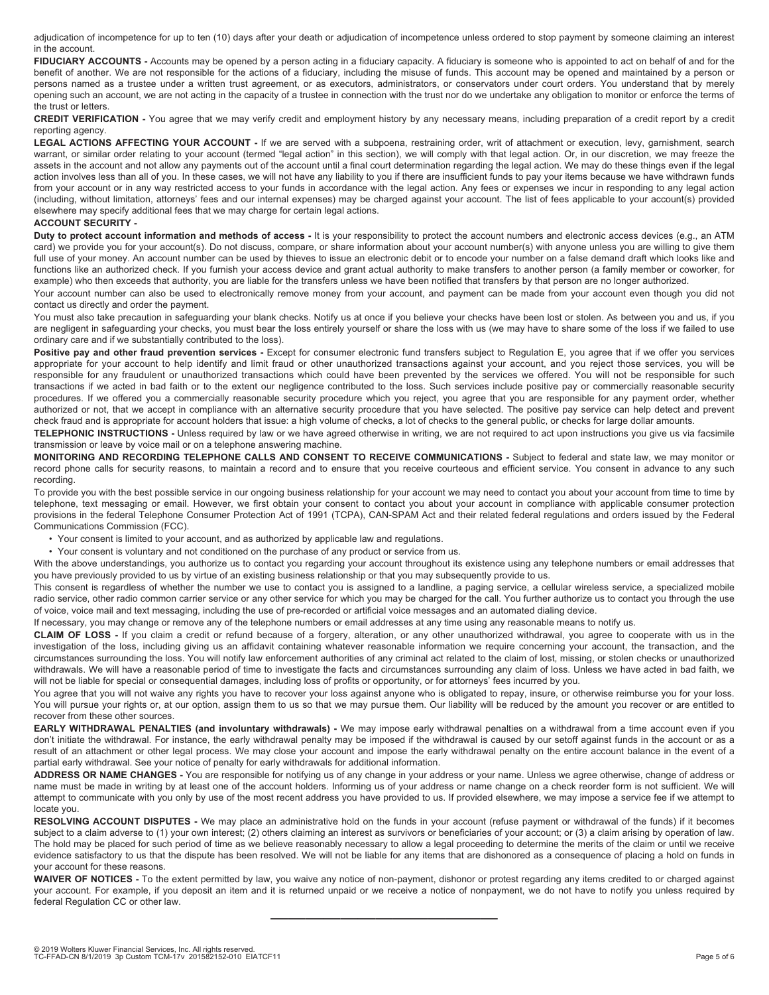adjudication of incompetence for up to ten (10) days after your death or adjudication of incompetence unless ordered to stop payment by someone claiming an interest in the account.

FIDUCIARY ACCOUNTS - Accounts may be opened by a person acting in a fiduciary capacity. A fiduciary is someone who is appointed to act on behalf of and for the benefit of another. We are not responsible for the actions of a fiduciary, including the misuse of funds. This account may be opened and maintained by a person or persons named as a trustee under a written trust agreement, or as executors, administrators, or conservators under court orders. You understand that by merely opening such an account, we are not acting in the capacity of a trustee in connection with the trust nor do we undertake any obligation to monitor or enforce the terms of the trust or letters.

#### **CREDIT VERIFICATION -** You agree that we may verify credit and employment history by any necessary means, including preparation of a credit report by a credit reporting agency.

LEGAL ACTIONS AFFECTING YOUR ACCOUNT - If we are served with a subpoena, restraining order, writ of attachment or execution, levy, garnishment, search warrant, or similar order relating to your account (termed "legal action" in this section), we will comply with that legal action. Or, in our discretion, we may freeze the assets in the account and not allow any payments out of the account until a final court determination regarding the legal action. We may do these things even if the legal action involves less than all of you. In these cases, we will not have any liability to you if there are insufficient funds to pay your items because we have withdrawn funds from your account or in any way restricted access to your funds in accordance with the legal action. Any fees or expenses we incur in responding to any legal action (including, without limitation, attorneys' fees and our internal expenses) may be charged against your account. The list of fees applicable to your account(s) provided elsewhere may specify additional fees that we may charge for certain legal actions.

### **ACCOUNT SECURITY -**

**Duty to protect account information and methods of access -** It is your responsibility to protect the account numbers and electronic access devices (e.g., an ATM card) we provide you for your account(s). Do not discuss, compare, or share information about your account number(s) with anyone unless you are willing to give them full use of your money. An account number can be used by thieves to issue an electronic debit or to encode your number on a false demand draft which looks like and functions like an authorized check. If you furnish your access device and grant actual authority to make transfers to another person (a family member or coworker, for example) who then exceeds that authority, you are liable for the transfers unless we have been notified that transfers by that person are no longer authorized.

Your account number can also be used to electronically remove money from your account, and payment can be made from your account even though you did not contact us directly and order the payment.

You must also take precaution in safeguarding your blank checks. Notify us at once if you believe your checks have been lost or stolen. As between you and us, if you are negligent in safeguarding your checks, you must bear the loss entirely yourself or share the loss with us (we may have to share some of the loss if we failed to use ordinary care and if we substantially contributed to the loss).

Positive pay and other fraud prevention services - Except for consumer electronic fund transfers subject to Regulation E, you agree that if we offer you services appropriate for your account to help identify and limit fraud or other unauthorized transactions against your account, and you reject those services, you will be responsible for any fraudulent or unauthorized transactions which could have been prevented by the services we offered. You will not be responsible for such transactions if we acted in bad faith or to the extent our negligence contributed to the loss. Such services include positive pay or commercially reasonable security procedures. If we offered you a commercially reasonable security procedure which you reject, you agree that you are responsible for any payment order, whether authorized or not, that we accept in compliance with an alternative security procedure that you have selected. The positive pay service can help detect and prevent check fraud and is appropriate for account holders that issue: a high volume of checks, a lot of checks to the general public, or checks for large dollar amounts.

**TELEPHONIC INSTRUCTIONS -** Unless required by law or we have agreed otherwise in writing, we are not required to act upon instructions you give us via facsimile transmission or leave by voice mail or on a telephone answering machine.

**MONITORING AND RECORDING TELEPHONE CALLS AND CONSENT TO RECEIVE COMMUNICATIONS -** Subject to federal and state law, we may monitor or record phone calls for security reasons, to maintain a record and to ensure that you receive courteous and efficient service. You consent in advance to any such recording.

To provide you with the best possible service in our ongoing business relationship for your account we may need to contact you about your account from time to time by telephone, text messaging or email. However, we first obtain your consent to contact you about your account in compliance with applicable consumer protection provisions in the federal Telephone Consumer Protection Act of 1991 (TCPA), CAN-SPAM Act and their related federal regulations and orders issued by the Federal Communications Commission (FCC).

- Your consent is limited to your account, and as authorized by applicable law and regulations.
- Your consent is voluntary and not conditioned on the purchase of any product or service from us.

With the above understandings, you authorize us to contact you regarding your account throughout its existence using any telephone numbers or email addresses that you have previously provided to us by virtue of an existing business relationship or that you may subsequently provide to us.

This consent is regardless of whether the number we use to contact you is assigned to a landline, a paging service, a cellular wireless service, a specialized mobile radio service, other radio common carrier service or any other service for which you may be charged for the call. You further authorize us to contact you through the use of voice, voice mail and text messaging, including the use of pre-recorded or artificial voice messages and an automated dialing device.

If necessary, you may change or remove any of the telephone numbers or email addresses at any time using any reasonable means to notify us.

**CLAIM OF LOSS -** If you claim a credit or refund because of a forgery, alteration, or any other unauthorized withdrawal, you agree to cooperate with us in the investigation of the loss, including giving us an affidavit containing whatever reasonable information we require concerning your account, the transaction, and the circumstances surrounding the loss. You will notify law enforcement authorities of any criminal act related to the claim of lost, missing, or stolen checks or unauthorized withdrawals. We will have a reasonable period of time to investigate the facts and circumstances surrounding any claim of loss. Unless we have acted in bad faith, we will not be liable for special or consequential damages, including loss of profits or opportunity, or for attorneys' fees incurred by you.

You agree that you will not waive any rights you have to recover your loss against anyone who is obligated to repay, insure, or otherwise reimburse you for your loss. You will pursue your rights or, at our option, assign them to us so that we may pursue them. Our liability will be reduced by the amount you recover or are entitled to recover from these other sources.

**EARLY WITHDRAWAL PENALTIES (and involuntary withdrawals) -** We may impose early withdrawal penalties on a withdrawal from a time account even if you don't initiate the withdrawal. For instance, the early withdrawal penalty may be imposed if the withdrawal is caused by our setoff against funds in the account or as a result of an attachment or other legal process. We may close your account and impose the early withdrawal penalty on the entire account balance in the event of a partial early withdrawal. See your notice of penalty for early withdrawals for additional information.

**ADDRESS OR NAME CHANGES -** You are responsible for notifying us of any change in your address or your name. Unless we agree otherwise, change of address or name must be made in writing by at least one of the account holders. Informing us of your address or name change on a check reorder form is not sufficient. We will attempt to communicate with you only by use of the most recent address you have provided to us. If provided elsewhere, we may impose a service fee if we attempt to locate you.

**RESOLVING ACCOUNT DISPUTES -** We may place an administrative hold on the funds in your account (refuse payment or withdrawal of the funds) if it becomes subject to a claim adverse to (1) your own interest; (2) others claiming an interest as survivors or beneficiaries of your account; or (3) a claim arising by operation of law. The hold may be placed for such period of time as we believe reasonably necessary to allow a legal proceeding to determine the merits of the claim or until we receive evidence satisfactory to us that the dispute has been resolved. We will not be liable for any items that are dishonored as a consequence of placing a hold on funds in your account for these reasons.

**WAIVER OF NOTICES -** To the extent permitted by law, you waive any notice of non-payment, dishonor or protest regarding any items credited to or charged against your account. For example, if you deposit an item and it is returned unpaid or we receive a notice of nonpayment, we do not have to notify you unless required by federal Regulation CC or other law.

—————————————